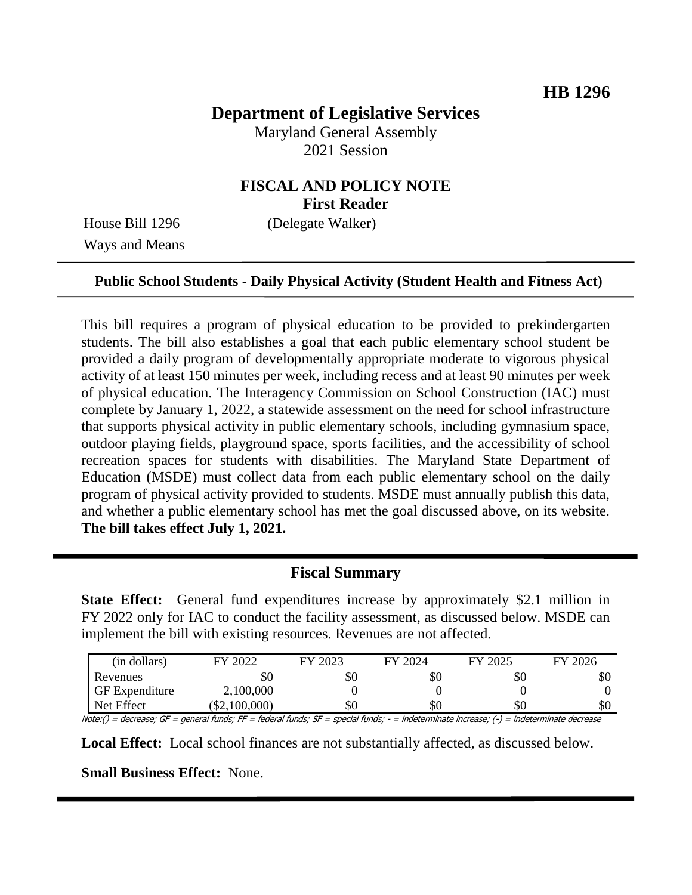# **Department of Legislative Services**

Maryland General Assembly 2021 Session

### **FISCAL AND POLICY NOTE First Reader**

Ways and Means

House Bill 1296 (Delegate Walker)

#### **Public School Students - Daily Physical Activity (Student Health and Fitness Act)**

This bill requires a program of physical education to be provided to prekindergarten students. The bill also establishes a goal that each public elementary school student be provided a daily program of developmentally appropriate moderate to vigorous physical activity of at least 150 minutes per week, including recess and at least 90 minutes per week of physical education. The Interagency Commission on School Construction (IAC) must complete by January 1, 2022, a statewide assessment on the need for school infrastructure that supports physical activity in public elementary schools, including gymnasium space, outdoor playing fields, playground space, sports facilities, and the accessibility of school recreation spaces for students with disabilities. The Maryland State Department of Education (MSDE) must collect data from each public elementary school on the daily program of physical activity provided to students. MSDE must annually publish this data, and whether a public elementary school has met the goal discussed above, on its website. **The bill takes effect July 1, 2021.**

### **Fiscal Summary**

**State Effect:** General fund expenditures increase by approximately \$2.1 million in FY 2022 only for IAC to conduct the facility assessment, as discussed below. MSDE can implement the bill with existing resources. Revenues are not affected.

| (in dollars)          | FY 2022     | 2023 | FY 2024 | FY 2025 | FY 2026 |
|-----------------------|-------------|------|---------|---------|---------|
| Revenues              | УO          | ъU   | \$0     | \$0     | ΦU      |
| <b>GF</b> Expenditure | 2,100,000   |      |         |         |         |
| Net Effect            | \$2,100,000 | ъU   | \$0     | \$0     | υU      |

Note:() = decrease; GF = general funds; FF = federal funds; SF = special funds; - = indeterminate increase; (-) = indeterminate decrease

**Local Effect:** Local school finances are not substantially affected, as discussed below.

**Small Business Effect:** None.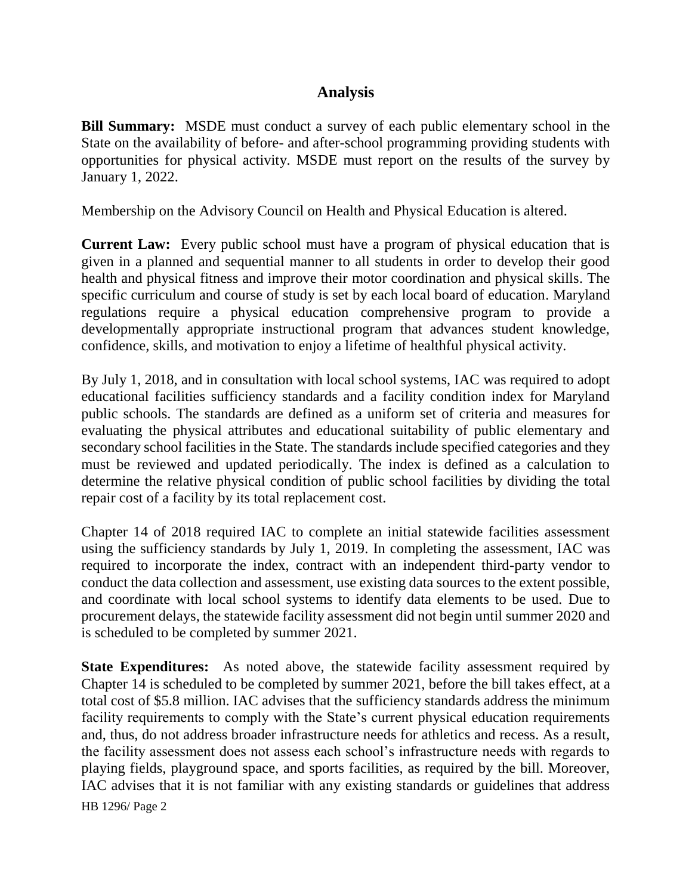# **Analysis**

**Bill Summary:** MSDE must conduct a survey of each public elementary school in the State on the availability of before- and after-school programming providing students with opportunities for physical activity. MSDE must report on the results of the survey by January 1, 2022.

Membership on the Advisory Council on Health and Physical Education is altered.

**Current Law:** Every public school must have a program of physical education that is given in a planned and sequential manner to all students in order to develop their good health and physical fitness and improve their motor coordination and physical skills. The specific curriculum and course of study is set by each local board of education. Maryland regulations require a physical education comprehensive program to provide a developmentally appropriate instructional program that advances student knowledge, confidence, skills, and motivation to enjoy a lifetime of healthful physical activity.

By July 1, 2018, and in consultation with local school systems, IAC was required to adopt educational facilities sufficiency standards and a facility condition index for Maryland public schools. The standards are defined as a uniform set of criteria and measures for evaluating the physical attributes and educational suitability of public elementary and secondary school facilities in the State. The standards include specified categories and they must be reviewed and updated periodically. The index is defined as a calculation to determine the relative physical condition of public school facilities by dividing the total repair cost of a facility by its total replacement cost.

Chapter 14 of 2018 required IAC to complete an initial statewide facilities assessment using the sufficiency standards by July 1, 2019. In completing the assessment, IAC was required to incorporate the index, contract with an independent third-party vendor to conduct the data collection and assessment, use existing data sources to the extent possible, and coordinate with local school systems to identify data elements to be used. Due to procurement delays, the statewide facility assessment did not begin until summer 2020 and is scheduled to be completed by summer 2021.

**State Expenditures:** As noted above, the statewide facility assessment required by Chapter 14 is scheduled to be completed by summer 2021, before the bill takes effect, at a total cost of \$5.8 million. IAC advises that the sufficiency standards address the minimum facility requirements to comply with the State's current physical education requirements and, thus, do not address broader infrastructure needs for athletics and recess. As a result, the facility assessment does not assess each school's infrastructure needs with regards to playing fields, playground space, and sports facilities, as required by the bill. Moreover, IAC advises that it is not familiar with any existing standards or guidelines that address

HB 1296/ Page 2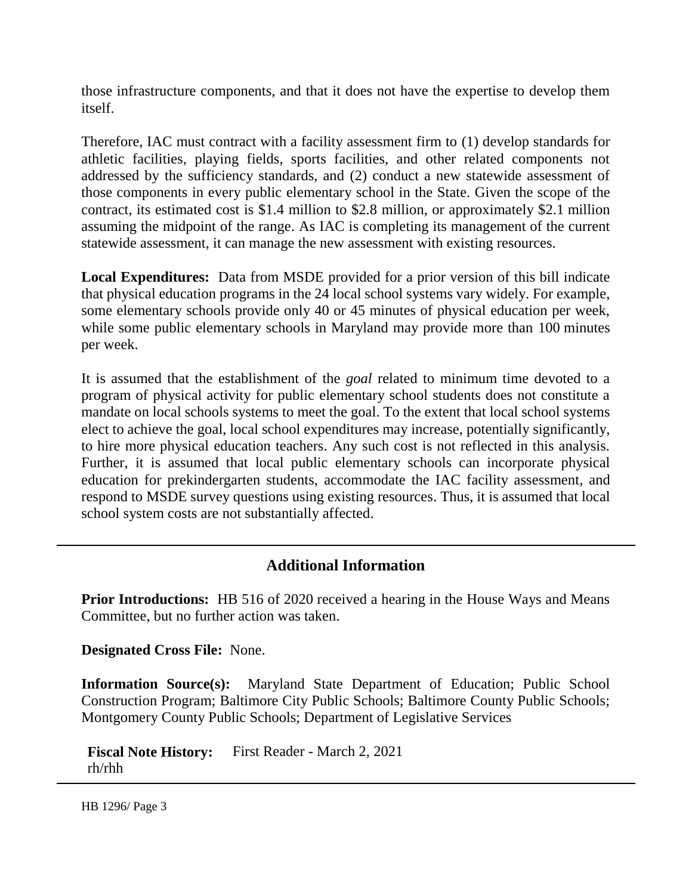those infrastructure components, and that it does not have the expertise to develop them itself.

Therefore, IAC must contract with a facility assessment firm to (1) develop standards for athletic facilities, playing fields, sports facilities, and other related components not addressed by the sufficiency standards, and (2) conduct a new statewide assessment of those components in every public elementary school in the State. Given the scope of the contract, its estimated cost is \$1.4 million to \$2.8 million, or approximately \$2.1 million assuming the midpoint of the range. As IAC is completing its management of the current statewide assessment, it can manage the new assessment with existing resources.

**Local Expenditures:** Data from MSDE provided for a prior version of this bill indicate that physical education programs in the 24 local school systems vary widely. For example, some elementary schools provide only 40 or 45 minutes of physical education per week, while some public elementary schools in Maryland may provide more than 100 minutes per week.

It is assumed that the establishment of the *goal* related to minimum time devoted to a program of physical activity for public elementary school students does not constitute a mandate on local schools systems to meet the goal. To the extent that local school systems elect to achieve the goal, local school expenditures may increase, potentially significantly, to hire more physical education teachers. Any such cost is not reflected in this analysis. Further, it is assumed that local public elementary schools can incorporate physical education for prekindergarten students, accommodate the IAC facility assessment, and respond to MSDE survey questions using existing resources. Thus, it is assumed that local school system costs are not substantially affected.

### **Additional Information**

**Prior Introductions:** HB 516 of 2020 received a hearing in the House Ways and Means Committee, but no further action was taken.

**Designated Cross File:** None.

**Information Source(s):** Maryland State Department of Education; Public School Construction Program; Baltimore City Public Schools; Baltimore County Public Schools; Montgomery County Public Schools; Department of Legislative Services

**Fiscal Note History:** First Reader - March 2, 2021 rh/rhh